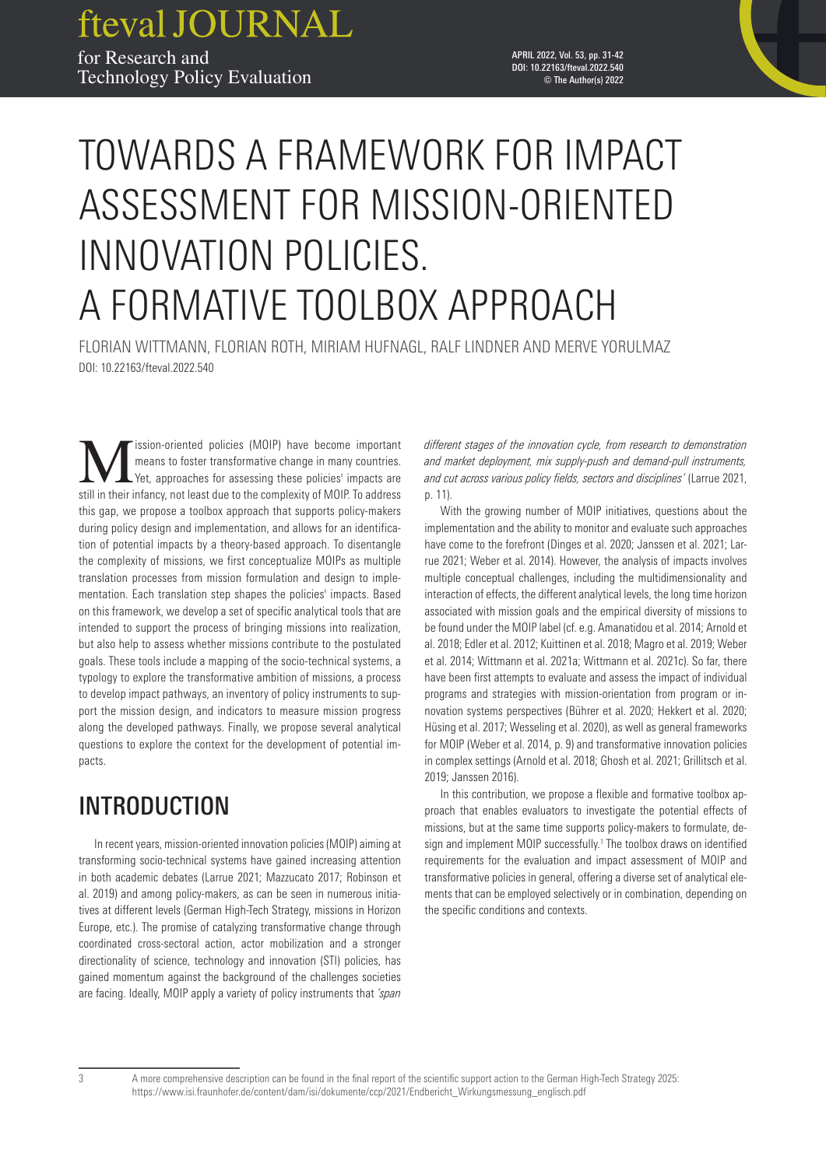fteval JOURNAL for Research and Technology Policy Evaluation

APRIL 2022, Vol. 53, pp. 31-42 DOI: 10.22163/fteval.2022.540 © The Author(s) 2022

# TOWARDS A FRAMEWORK FOR IMPACT ASSESSMENT FOR MISSION-ORIENTED INNOVATION POLICIES. A FORMATIVE TOOLBOX APPROACH

FLORIAN WITTMANN, FLORIAN ROTH, MIRIAM HUFNAGL, RALF LINDNER AND MERVE YORULMAZ DOI: 10.22163/fteval.2022.540

**Market School School** Christian Contract Text of MOIP) have become important means to foster transformative change in many countries.<br>
Yet, approaches for assessing these policies' impacts are estill in their infancy not means to foster transformative change in many countries. still in their infancy, not least due to the complexity of MOIP. To address this gap, we propose a toolbox approach that supports policy-makers during policy design and implementation, and allows for an identification of potential impacts by a theory-based approach. To disentangle the complexity of missions, we first conceptualize MOIPs as multiple translation processes from mission formulation and design to implementation. Each translation step shapes the policies' impacts. Based on this framework, we develop a set of specific analytical tools that are intended to support the process of bringing missions into realization, but also help to assess whether missions contribute to the postulated goals. These tools include a mapping of the socio-technical systems, a typology to explore the transformative ambition of missions, a process to develop impact pathways, an inventory of policy instruments to support the mission design, and indicators to measure mission progress along the developed pathways. Finally, we propose several analytical questions to explore the context for the development of potential impacts.

# INTRODUCTION

In recent years, mission-oriented innovation policies (MOIP) aiming at transforming socio-technical systems have gained increasing attention in both academic debates (Larrue 2021; Mazzucato 2017; Robinson et al. 2019) and among policy-makers, as can be seen in numerous initiatives at different levels (German High-Tech Strategy, missions in Horizon Europe, etc.). The promise of catalyzing transformative change through coordinated cross-sectoral action, actor mobilization and a stronger directionality of science, technology and innovation (STI) policies, has gained momentum against the background of the challenges societies are facing. Ideally, MOIP apply a variety of policy instruments that *'span* 

*different stages of the innovation cycle, from research to demonstration and market deployment, mix supply-push and demand-pull instruments, and cut across various policy fields, sectors and disciplines'* (Larrue 2021, p. 11).

With the growing number of MOIP initiatives, questions about the implementation and the ability to monitor and evaluate such approaches have come to the forefront (Dinges et al. 2020; Janssen et al. 2021; Larrue 2021; Weber et al. 2014). However, the analysis of impacts involves multiple conceptual challenges, including the multidimensionality and interaction of effects, the different analytical levels, the long time horizon associated with mission goals and the empirical diversity of missions to be found under the MOIP label (cf. e.g. Amanatidou et al. 2014; Arnold et al. 2018; Edler et al. 2012; Kuittinen et al. 2018; Magro et al. 2019; Weber et al. 2014; Wittmann et al. 2021a; Wittmann et al. 2021c). So far, there have been first attempts to evaluate and assess the impact of individual programs and strategies with mission-orientation from program or innovation systems perspectives (Bührer et al. 2020; Hekkert et al. 2020; Hüsing et al. 2017; Wesseling et al. 2020), as well as general frameworks for MOIP (Weber et al. 2014, p. 9) and transformative innovation policies in complex settings (Arnold et al. 2018; Ghosh et al. 2021; Grillitsch et al. 2019; Janssen 2016).

In this contribution, we propose a flexible and formative toolbox approach that enables evaluators to investigate the potential effects of missions, but at the same time supports policy-makers to formulate, design and implement MOIP successfully.<sup>1</sup> The toolbox draws on identified requirements for the evaluation and impact assessment of MOIP and transformative policies in general, offering a diverse set of analytical elements that can be employed selectively or in combination, depending on the specific conditions and contexts.

<sup>3</sup> A more comprehensive description can be found in the final report of the scientific support action to the German High-Tech Strategy 2025: [https://www.isi.fraunhofer.de/content/dam/isi/dokumente/ccp/2021/Endbericht\\_Wirkungsmessung\\_englisch.pdf](https://www.isi.fraunhofer.de/content/dam/isi/dokumente/ccp/2021/Endbericht_Wirkungsmessung_englisch.pdf)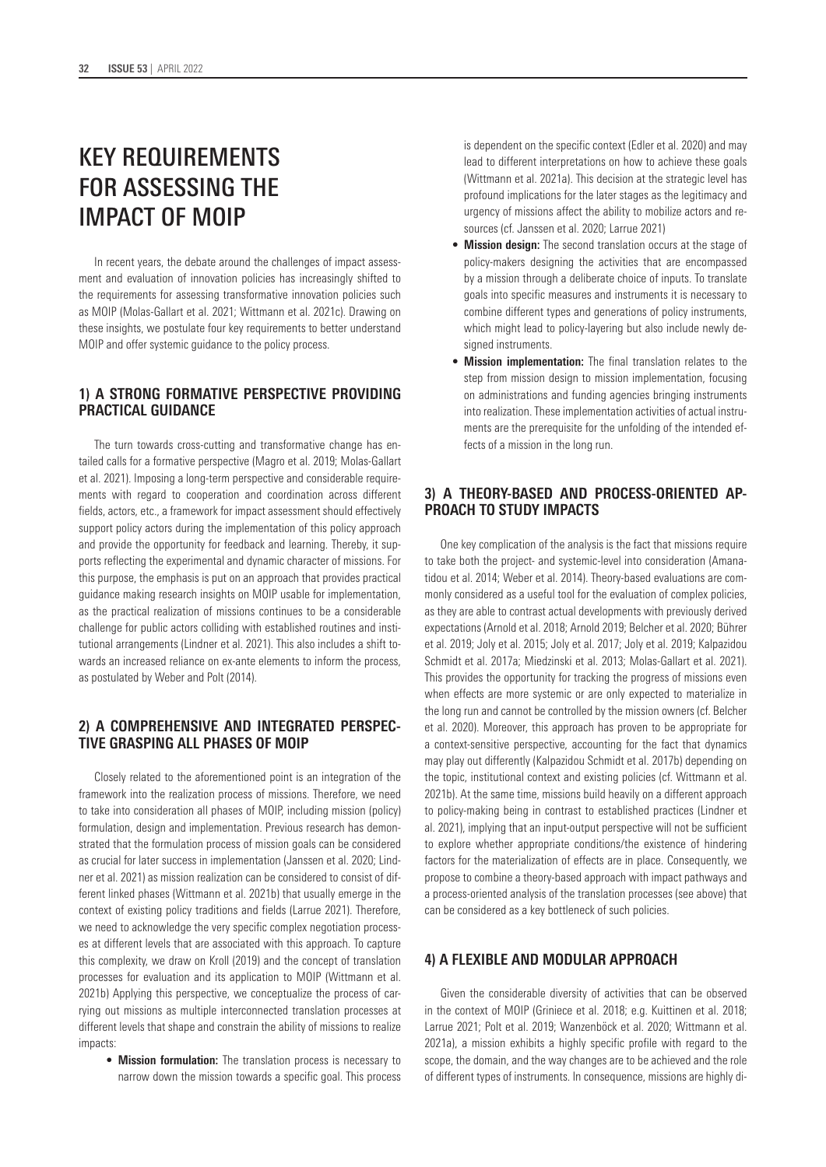# KEY REQUIREMENTS FOR ASSESSING THE IMPACT OF MOIP

In recent years, the debate around the challenges of impact assessment and evaluation of innovation policies has increasingly shifted to the requirements for assessing transformative innovation policies such as MOIP (Molas-Gallart et al. 2021; Wittmann et al. 2021c). Drawing on these insights, we postulate four key requirements to better understand MOIP and offer systemic guidance to the policy process.

# **1) A STRONG FORMATIVE PERSPECTIVE PROVIDING PRACTICAL GUIDANCE**

The turn towards cross-cutting and transformative change has entailed calls for a formative perspective (Magro et al. 2019; Molas-Gallart et al. 2021). Imposing a long-term perspective and considerable requirements with regard to cooperation and coordination across different fields, actors, etc., a framework for impact assessment should effectively support policy actors during the implementation of this policy approach and provide the opportunity for feedback and learning. Thereby, it supports reflecting the experimental and dynamic character of missions. For this purpose, the emphasis is put on an approach that provides practical guidance making research insights on MOIP usable for implementation, as the practical realization of missions continues to be a considerable challenge for public actors colliding with established routines and institutional arrangements (Lindner et al. 2021). This also includes a shift towards an increased reliance on ex-ante elements to inform the process, as postulated by Weber and Polt (2014).

# **2) A COMPREHENSIVE AND INTEGRATED PERSPEC-TIVE GRASPING ALL PHASES OF MOIP**

Closely related to the aforementioned point is an integration of the framework into the realization process of missions. Therefore, we need to take into consideration all phases of MOIP, including mission (policy) formulation, design and implementation. Previous research has demonstrated that the formulation process of mission goals can be considered as crucial for later success in implementation (Janssen et al. 2020; Lindner et al. 2021) as mission realization can be considered to consist of different linked phases (Wittmann et al. 2021b) that usually emerge in the context of existing policy traditions and fields (Larrue 2021). Therefore, we need to acknowledge the very specific complex negotiation processes at different levels that are associated with this approach. To capture this complexity, we draw on Kroll (2019) and the concept of translation processes for evaluation and its application to MOIP (Wittmann et al. 2021b) Applying this perspective, we conceptualize the process of carrying out missions as multiple interconnected translation processes at different levels that shape and constrain the ability of missions to realize impacts:

• **Mission formulation:** The translation process is necessary to narrow down the mission towards a specific goal. This process is dependent on the specific context (Edler et al. 2020) and may lead to different interpretations on how to achieve these goals (Wittmann et al. 2021a). This decision at the strategic level has profound implications for the later stages as the legitimacy and urgency of missions affect the ability to mobilize actors and resources (cf. Janssen et al. 2020; Larrue 2021)

- **Mission design:** The second translation occurs at the stage of policy-makers designing the activities that are encompassed by a mission through a deliberate choice of inputs. To translate goals into specific measures and instruments it is necessary to combine different types and generations of policy instruments, which might lead to policy-layering but also include newly designed instruments.
- **Mission implementation:** The final translation relates to the step from mission design to mission implementation, focusing on administrations and funding agencies bringing instruments into realization. These implementation activities of actual instruments are the prerequisite for the unfolding of the intended effects of a mission in the long run.

# **3) A THEORY-BASED AND PROCESS-ORIENTED AP-PROACH TO STUDY IMPACTS**

One key complication of the analysis is the fact that missions require to take both the project- and systemic-level into consideration (Amanatidou et al. 2014; Weber et al. 2014). Theory-based evaluations are commonly considered as a useful tool for the evaluation of complex policies, as they are able to contrast actual developments with previously derived expectations (Arnold et al. 2018; Arnold 2019; Belcher et al. 2020; Bührer et al. 2019; Joly et al. 2015; Joly et al. 2017; Joly et al. 2019; Kalpazidou Schmidt et al. 2017a; Miedzinski et al. 2013; Molas-Gallart et al. 2021). This provides the opportunity for tracking the progress of missions even when effects are more systemic or are only expected to materialize in the long run and cannot be controlled by the mission owners (cf. Belcher et al. 2020). Moreover, this approach has proven to be appropriate for a context-sensitive perspective, accounting for the fact that dynamics may play out differently (Kalpazidou Schmidt et al. 2017b) depending on the topic, institutional context and existing policies (cf. Wittmann et al. 2021b). At the same time, missions build heavily on a different approach to policy-making being in contrast to established practices (Lindner et al. 2021), implying that an input-output perspective will not be sufficient to explore whether appropriate conditions/the existence of hindering factors for the materialization of effects are in place. Consequently, we propose to combine a theory-based approach with impact pathways and a process-oriented analysis of the translation processes (see above) that can be considered as a key bottleneck of such policies.

### **4) A FLEXIBLE AND MODULAR APPROACH**

Given the considerable diversity of activities that can be observed in the context of MOIP (Griniece et al. 2018; e.g. Kuittinen et al. 2018; Larrue 2021; Polt et al. 2019; Wanzenböck et al. 2020; Wittmann et al. 2021a), a mission exhibits a highly specific profile with regard to the scope, the domain, and the way changes are to be achieved and the role of different types of instruments. In consequence, missions are highly di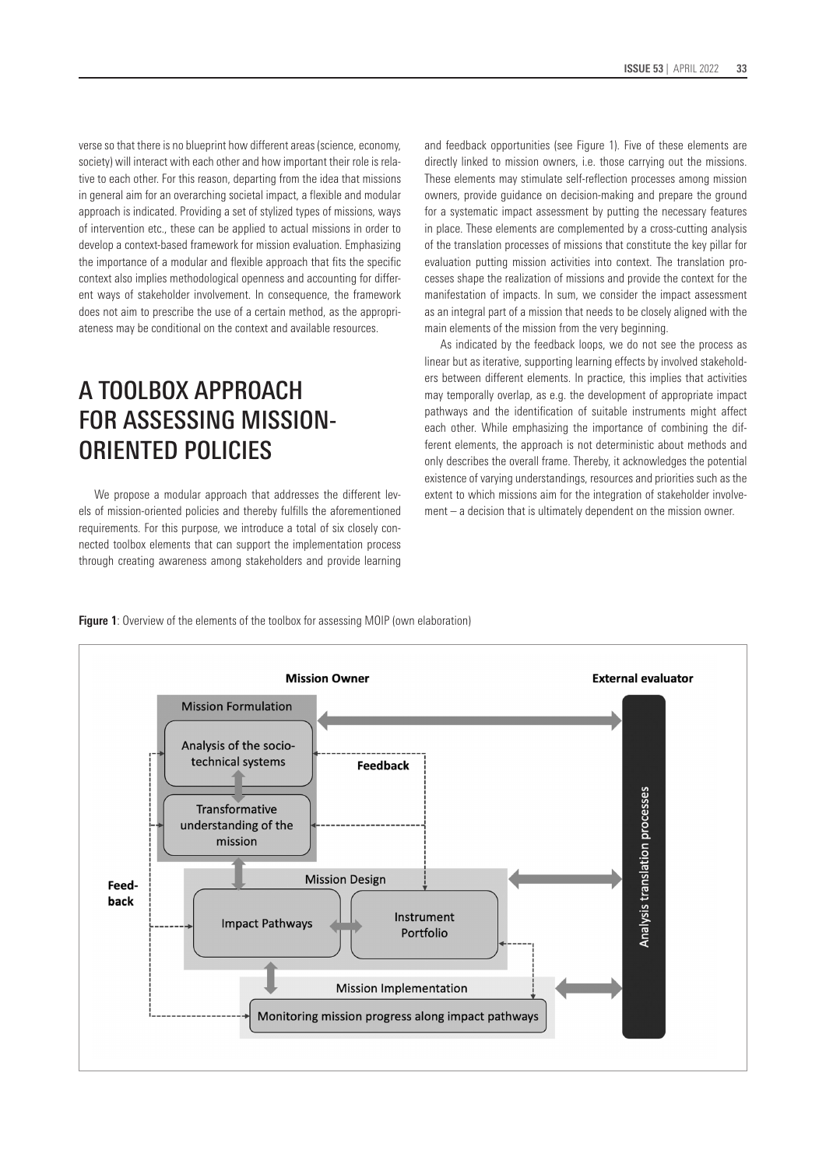verse so that there is no blueprint how different areas (science, economy, society) will interact with each other and how important their role is relative to each other. For this reason, departing from the idea that missions in general aim for an overarching societal impact, a flexible and modular approach is indicated. Providing a set of stylized types of missions, ways of intervention etc., these can be applied to actual missions in order to develop a context-based framework for mission evaluation. Emphasizing the importance of a modular and flexible approach that fits the specific context also implies methodological openness and accounting for different ways of stakeholder involvement. In consequence, the framework does not aim to prescribe the use of a certain method, as the appropriateness may be conditional on the context and available resources.

# A TOOLBOX APPROACH FOR ASSESSING MISSION-ORIENTED POLICIES

We propose a modular approach that addresses the different levels of mission-oriented policies and thereby fulfills the aforementioned requirements. For this purpose, we introduce a total of six closely connected toolbox elements that can support the implementation process through creating awareness among stakeholders and provide learning and feedback opportunities (see Figure 1). Five of these elements are directly linked to mission owners, i.e. those carrying out the missions. These elements may stimulate self-reflection processes among mission owners, provide guidance on decision-making and prepare the ground for a systematic impact assessment by putting the necessary features in place. These elements are complemented by a cross-cutting analysis of the translation processes of missions that constitute the key pillar for evaluation putting mission activities into context. The translation processes shape the realization of missions and provide the context for the manifestation of impacts. In sum, we consider the impact assessment as an integral part of a mission that needs to be closely aligned with the main elements of the mission from the very beginning.

As indicated by the feedback loops, we do not see the process as linear but as iterative, supporting learning effects by involved stakeholders between different elements. In practice, this implies that activities may temporally overlap, as e.g. the development of appropriate impact pathways and the identification of suitable instruments might affect each other. While emphasizing the importance of combining the different elements, the approach is not deterministic about methods and only describes the overall frame. Thereby, it acknowledges the potential existence of varying understandings, resources and priorities such as the extent to which missions aim for the integration of stakeholder involvement – a decision that is ultimately dependent on the mission owner.



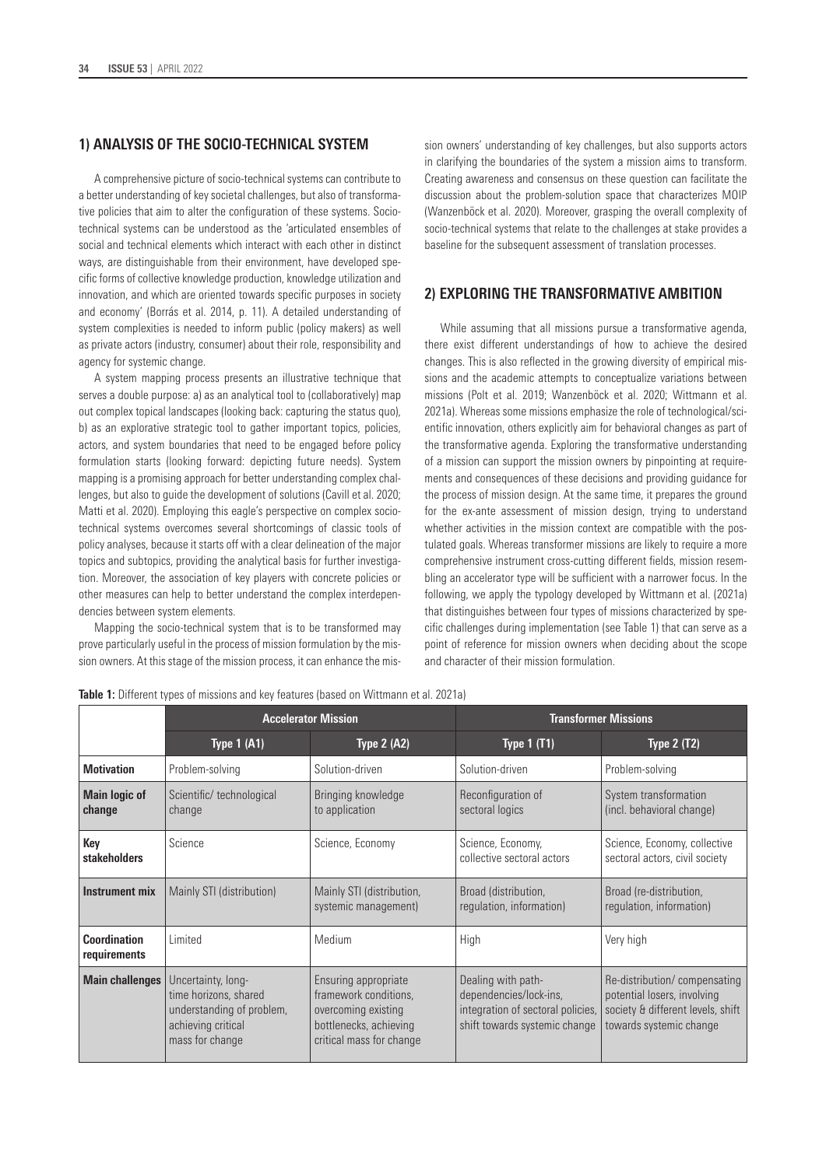# **1) ANALYSIS OF THE SOCIO-TECHNICAL SYSTEM**

A comprehensive picture of socio-technical systems can contribute to a better understanding of key societal challenges, but also of transformative policies that aim to alter the configuration of these systems. Sociotechnical systems can be understood as the 'articulated ensembles of social and technical elements which interact with each other in distinct ways, are distinguishable from their environment, have developed specific forms of collective knowledge production, knowledge utilization and innovation, and which are oriented towards specific purposes in society and economy' (Borrás et al. 2014, p. 11). A detailed understanding of system complexities is needed to inform public (policy makers) as well as private actors (industry, consumer) about their role, responsibility and agency for systemic change.

A system mapping process presents an illustrative technique that serves a double purpose: a) as an analytical tool to (collaboratively) map out complex topical landscapes (looking back: capturing the status quo), b) as an explorative strategic tool to gather important topics, policies, actors, and system boundaries that need to be engaged before policy formulation starts (looking forward: depicting future needs). System mapping is a promising approach for better understanding complex challenges, but also to guide the development of solutions (Cavill et al. 2020; Matti et al. 2020). Employing this eagle's perspective on complex sociotechnical systems overcomes several shortcomings of classic tools of policy analyses, because it starts off with a clear delineation of the major topics and subtopics, providing the analytical basis for further investigation. Moreover, the association of key players with concrete policies or other measures can help to better understand the complex interdependencies between system elements.

Mapping the socio-technical system that is to be transformed may prove particularly useful in the process of mission formulation by the mission owners. At this stage of the mission process, it can enhance the mission owners' understanding of key challenges, but also supports actors in clarifying the boundaries of the system a mission aims to transform. Creating awareness and consensus on these question can facilitate the discussion about the problem-solution space that characterizes MOIP (Wanzenböck et al. 2020). Moreover, grasping the overall complexity of socio-technical systems that relate to the challenges at stake provides a baseline for the subsequent assessment of translation processes.

### **2) EXPLORING THE TRANSFORMATIVE AMBITION**

While assuming that all missions pursue a transformative agenda, there exist different understandings of how to achieve the desired changes. This is also reflected in the growing diversity of empirical missions and the academic attempts to conceptualize variations between missions (Polt et al. 2019; Wanzenböck et al. 2020; Wittmann et al. 2021a). Whereas some missions emphasize the role of technological/scientific innovation, others explicitly aim for behavioral changes as part of the transformative agenda. Exploring the transformative understanding of a mission can support the mission owners by pinpointing at requirements and consequences of these decisions and providing guidance for the process of mission design. At the same time, it prepares the ground for the ex-ante assessment of mission design, trying to understand whether activities in the mission context are compatible with the postulated goals. Whereas transformer missions are likely to require a more comprehensive instrument cross-cutting different fields, mission resembling an accelerator type will be sufficient with a narrower focus. In the following, we apply the typology developed by Wittmann et al. (2021a) that distinguishes between four types of missions characterized by specific challenges during implementation (see Table 1) that can serve as a point of reference for mission owners when deciding about the scope and character of their mission formulation.

|                                     | <b>Accelerator Mission</b>                                                                                        |                                                                                                                            | <b>Transformer Missions</b>                                                                                        |                                                                                                                             |  |
|-------------------------------------|-------------------------------------------------------------------------------------------------------------------|----------------------------------------------------------------------------------------------------------------------------|--------------------------------------------------------------------------------------------------------------------|-----------------------------------------------------------------------------------------------------------------------------|--|
|                                     | <b>Type 1 (A1)</b>                                                                                                | <b>Type 2 (A2)</b>                                                                                                         | <b>Type 1 (T1)</b>                                                                                                 | <b>Type 2 (T2)</b>                                                                                                          |  |
| <b>Motivation</b>                   | Problem-solving                                                                                                   | Solution-driven                                                                                                            | Solution-driven                                                                                                    | Problem-solving                                                                                                             |  |
| <b>Main logic of</b><br>change      | Scientific/ technological<br>change                                                                               | Bringing knowledge<br>to application                                                                                       | Reconfiguration of<br>sectoral logics                                                                              | System transformation<br>(incl. behavioral change)                                                                          |  |
| Key<br>stakeholders                 | Science                                                                                                           | Science, Economy                                                                                                           | Science, Economy,<br>collective sectoral actors                                                                    | Science, Economy, collective<br>sectoral actors, civil society                                                              |  |
| Instrument mix                      | Mainly STI (distribution)                                                                                         | Mainly STI (distribution,<br>systemic management)                                                                          | Broad (distribution,<br>regulation, information)                                                                   | Broad (re-distribution,<br>regulation, information)                                                                         |  |
| <b>Coordination</b><br>requirements | Limited                                                                                                           | Medium                                                                                                                     | High                                                                                                               | Very high                                                                                                                   |  |
| <b>Main challenges</b>              | Uncertainty, long-<br>time horizons, shared<br>understanding of problem,<br>achieving critical<br>mass for change | Ensuring appropriate<br>framework conditions,<br>overcoming existing<br>bottlenecks, achieving<br>critical mass for change | Dealing with path-<br>dependencies/lock-ins,<br>integration of sectoral policies,<br>shift towards systemic change | Re-distribution/compensating<br>potential losers, involving<br>society & different levels, shift<br>towards systemic change |  |

**Table 1:** Different types of missions and key features (based on Wittmann et al. 2021a)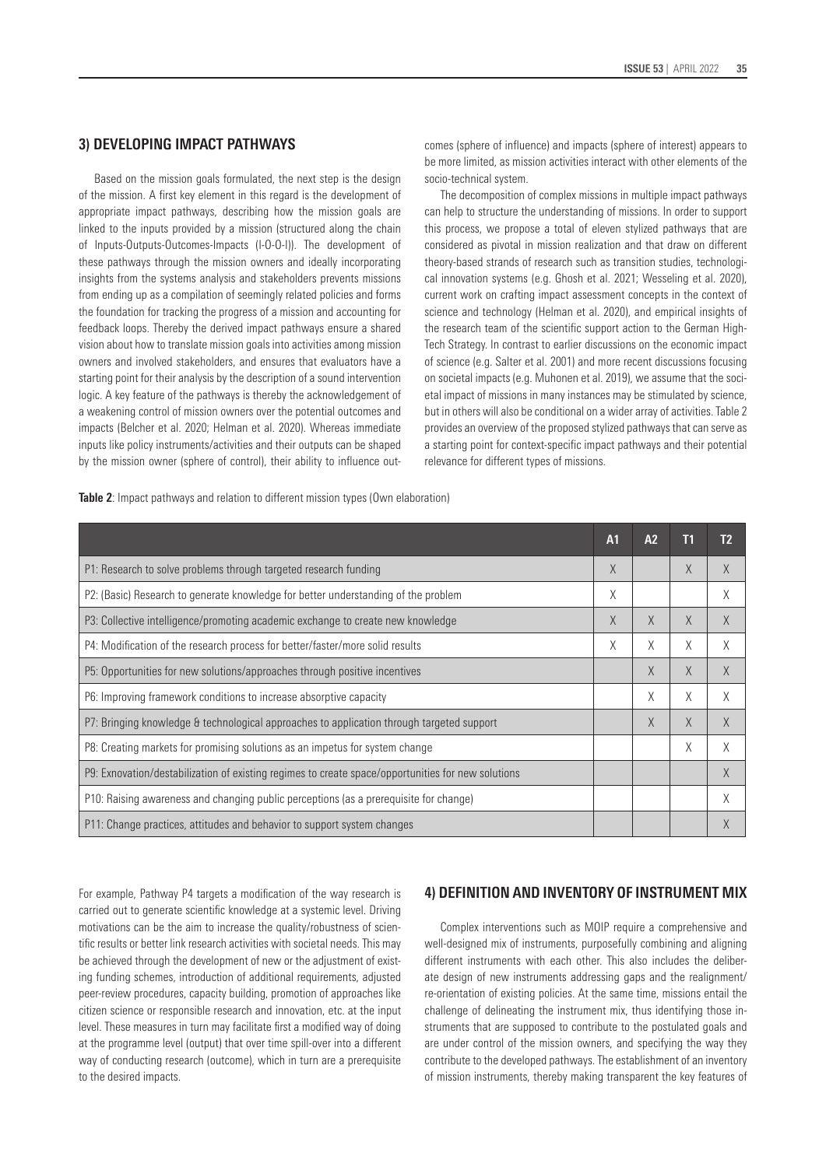# **3) DEVELOPING IMPACT PATHWAYS**

Based on the mission goals formulated, the next step is the design of the mission. A first key element in this regard is the development of appropriate impact pathways, describing how the mission goals are linked to the inputs provided by a mission (structured along the chain of Inputs-Outputs-Outcomes-Impacts (I-O-O-I)). The development of these pathways through the mission owners and ideally incorporating insights from the systems analysis and stakeholders prevents missions from ending up as a compilation of seemingly related policies and forms the foundation for tracking the progress of a mission and accounting for feedback loops. Thereby the derived impact pathways ensure a shared vision about how to translate mission goals into activities among mission owners and involved stakeholders, and ensures that evaluators have a starting point for their analysis by the description of a sound intervention logic. A key feature of the pathways is thereby the acknowledgement of a weakening control of mission owners over the potential outcomes and impacts (Belcher et al. 2020; Helman et al. 2020). Whereas immediate inputs like policy instruments/activities and their outputs can be shaped by the mission owner (sphere of control), their ability to influence outcomes (sphere of influence) and impacts (sphere of interest) appears to be more limited, as mission activities interact with other elements of the socio-technical system.

The decomposition of complex missions in multiple impact pathways can help to structure the understanding of missions. In order to support this process, we propose a total of eleven stylized pathways that are considered as pivotal in mission realization and that draw on different theory-based strands of research such as transition studies, technological innovation systems (e.g. Ghosh et al. 2021; Wesseling et al. 2020), current work on crafting impact assessment concepts in the context of science and technology (Helman et al. 2020), and empirical insights of the research team of the scientific support action to the German High-Tech Strategy. In contrast to earlier discussions on the economic impact of science (e.g. Salter et al. 2001) and more recent discussions focusing on societal impacts (e.g. Muhonen et al. 2019), we assume that the societal impact of missions in many instances may be stimulated by science, but in others will also be conditional on a wider array of activities. Table 2 provides an overview of the proposed stylized pathways that can serve as a starting point for context-specific impact pathways and their potential relevance for different types of missions.

**Table 2**: Impact pathways and relation to different mission types (Own elaboration)

|                                                                                                    | A <sub>1</sub> | A2 | T1 | T <sub>2</sub> |
|----------------------------------------------------------------------------------------------------|----------------|----|----|----------------|
| P1: Research to solve problems through targeted research funding                                   |                |    | X  | $\chi$         |
| P2: (Basic) Research to generate knowledge for better understanding of the problem                 |                |    |    | X              |
| P3: Collective intelligence/promoting academic exchange to create new knowledge                    |                | X  | X  | $\chi$         |
| P4: Modification of the research process for better/faster/more solid results                      | Χ              | Χ  | Χ  | X              |
| P5: Opportunities for new solutions/approaches through positive incentives                         |                | X  | X  | $\chi$         |
| P6: Improving framework conditions to increase absorptive capacity                                 |                | Χ  | X  | X              |
| P7: Bringing knowledge & technological approaches to application through targeted support          |                | X  | X  | $\chi$         |
| P8: Creating markets for promising solutions as an impetus for system change                       |                |    | X  | X              |
| P9: Exnovation/destabilization of existing regimes to create space/opportunities for new solutions |                |    |    | $\chi$         |
| P10: Raising awareness and changing public perceptions (as a prerequisite for change)              |                |    |    | Χ              |
| P11: Change practices, attitudes and behavior to support system changes                            |                |    |    |                |

For example, Pathway P4 targets a modification of the way research is carried out to generate scientific knowledge at a systemic level. Driving motivations can be the aim to increase the quality/robustness of scientific results or better link research activities with societal needs. This may be achieved through the development of new or the adjustment of existing funding schemes, introduction of additional requirements, adjusted peer-review procedures, capacity building, promotion of approaches like citizen science or responsible research and innovation, etc. at the input level. These measures in turn may facilitate first a modified way of doing at the programme level (output) that over time spill-over into a different way of conducting research (outcome), which in turn are a prerequisite to the desired impacts.

# **4) DEFINITION AND INVENTORY OF INSTRUMENT MIX**

Complex interventions such as MOIP require a comprehensive and well-designed mix of instruments, purposefully combining and aligning different instruments with each other. This also includes the deliberate design of new instruments addressing gaps and the realignment/ re-orientation of existing policies. At the same time, missions entail the challenge of delineating the instrument mix, thus identifying those instruments that are supposed to contribute to the postulated goals and are under control of the mission owners, and specifying the way they contribute to the developed pathways. The establishment of an inventory of mission instruments, thereby making transparent the key features of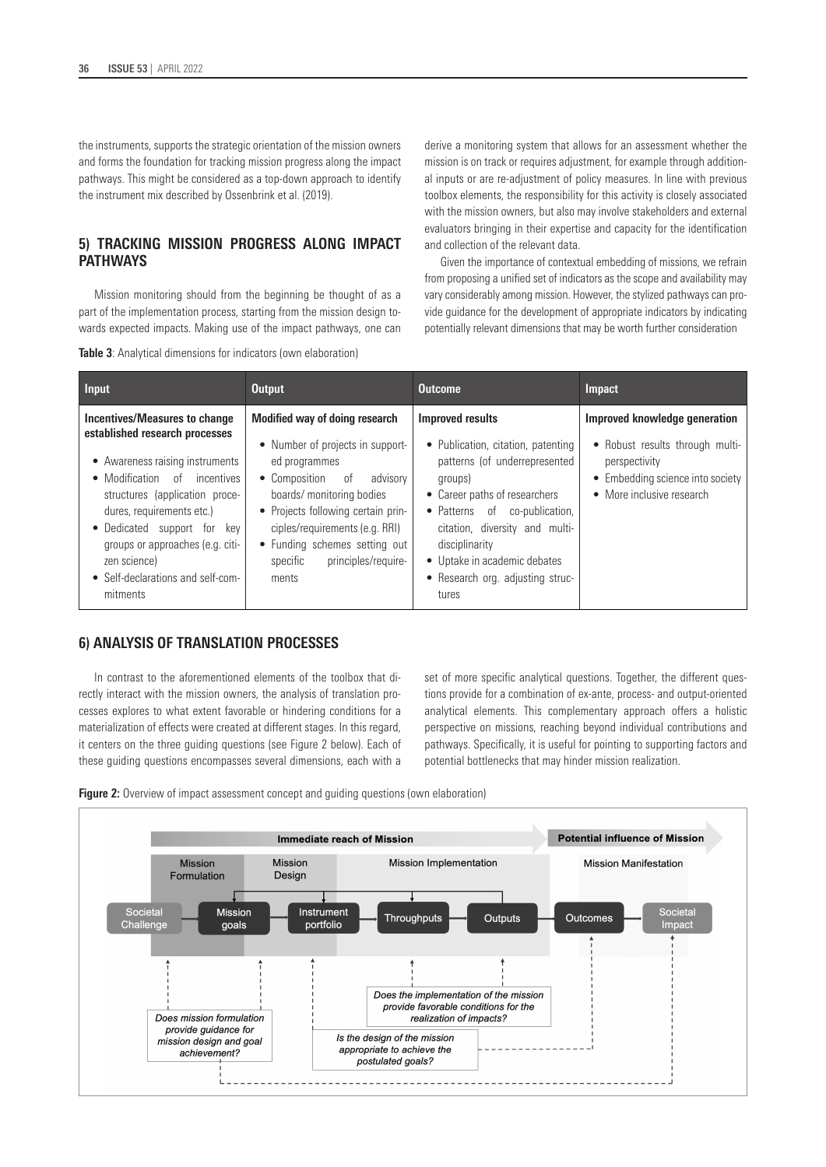the instruments, supports the strategic orientation of the mission owners and forms the foundation for tracking mission progress along the impact pathways. This might be considered as a top-down approach to identify the instrument mix described by Ossenbrink et al. (2019).

# **5) TRACKING MISSION PROGRESS ALONG IMPACT PATHWAYS**

Mission monitoring should from the beginning be thought of as a part of the implementation process, starting from the mission design towards expected impacts. Making use of the impact pathways, one can

**Table 3**: Analytical dimensions for indicators (own elaboration)

derive a monitoring system that allows for an assessment whether the mission is on track or requires adjustment, for example through additional inputs or are re-adjustment of policy measures. In line with previous toolbox elements, the responsibility for this activity is closely associated with the mission owners, but also may involve stakeholders and external evaluators bringing in their expertise and capacity for the identification and collection of the relevant data.

Given the importance of contextual embedding of missions, we refrain from proposing a unified set of indicators as the scope and availability may vary considerably among mission. However, the stylized pathways can provide guidance for the development of appropriate indicators by indicating potentially relevant dimensions that may be worth further consideration

| <b>Input</b>                                                                                                                                                                                                                                                                                                                          | <b>Output</b>                                                                                                                                                                                                                                                                                         | <b>Outcome</b>                                                                                                                                                                                                                                                                                               | <b>Impact</b>                                                                                                                                      |
|---------------------------------------------------------------------------------------------------------------------------------------------------------------------------------------------------------------------------------------------------------------------------------------------------------------------------------------|-------------------------------------------------------------------------------------------------------------------------------------------------------------------------------------------------------------------------------------------------------------------------------------------------------|--------------------------------------------------------------------------------------------------------------------------------------------------------------------------------------------------------------------------------------------------------------------------------------------------------------|----------------------------------------------------------------------------------------------------------------------------------------------------|
| Incentives/Measures to change<br>established research processes<br>• Awareness raising instruments<br>• Modification of incentives<br>structures (application proce-<br>dures, requirements etc.)<br>• Dedicated support for key<br>groups or approaches (e.g. citi-<br>zen science)<br>• Self-declarations and self-com-<br>mitments | Modified way of doing research<br>• Number of projects in support-<br>ed programmes<br>• Composition of<br>advisorv<br>boards/ monitoring bodies<br>• Projects following certain prin-<br>ciples/requirements (e.g. RRI)<br>• Funding schemes setting out<br>principles/require-<br>specific<br>ments | <b>Improved results</b><br>• Publication, citation, patenting<br>patterns (of underrepresented<br>groups)<br>• Career paths of researchers<br>• Patterns of co-publication,<br>citation, diversity and multi-<br>disciplinarity<br>• Uptake in academic debates<br>• Research org. adjusting struc-<br>tures | Improved knowledge generation<br>• Robust results through multi-<br>perspectivity<br>• Embedding science into society<br>• More inclusive research |

# **6) ANALYSIS OF TRANSLATION PROCESSES**

In contrast to the aforementioned elements of the toolbox that directly interact with the mission owners, the analysis of translation processes explores to what extent favorable or hindering conditions for a materialization of effects were created at different stages. In this regard, it centers on the three guiding questions (see Figure 2 below). Each of these guiding questions encompasses several dimensions, each with a set of more specific analytical questions. Together, the different questions provide for a combination of ex-ante, process- and output-oriented analytical elements. This complementary approach offers a holistic perspective on missions, reaching beyond individual contributions and pathways. Specifically, it is useful for pointing to supporting factors and potential bottlenecks that may hinder mission realization.



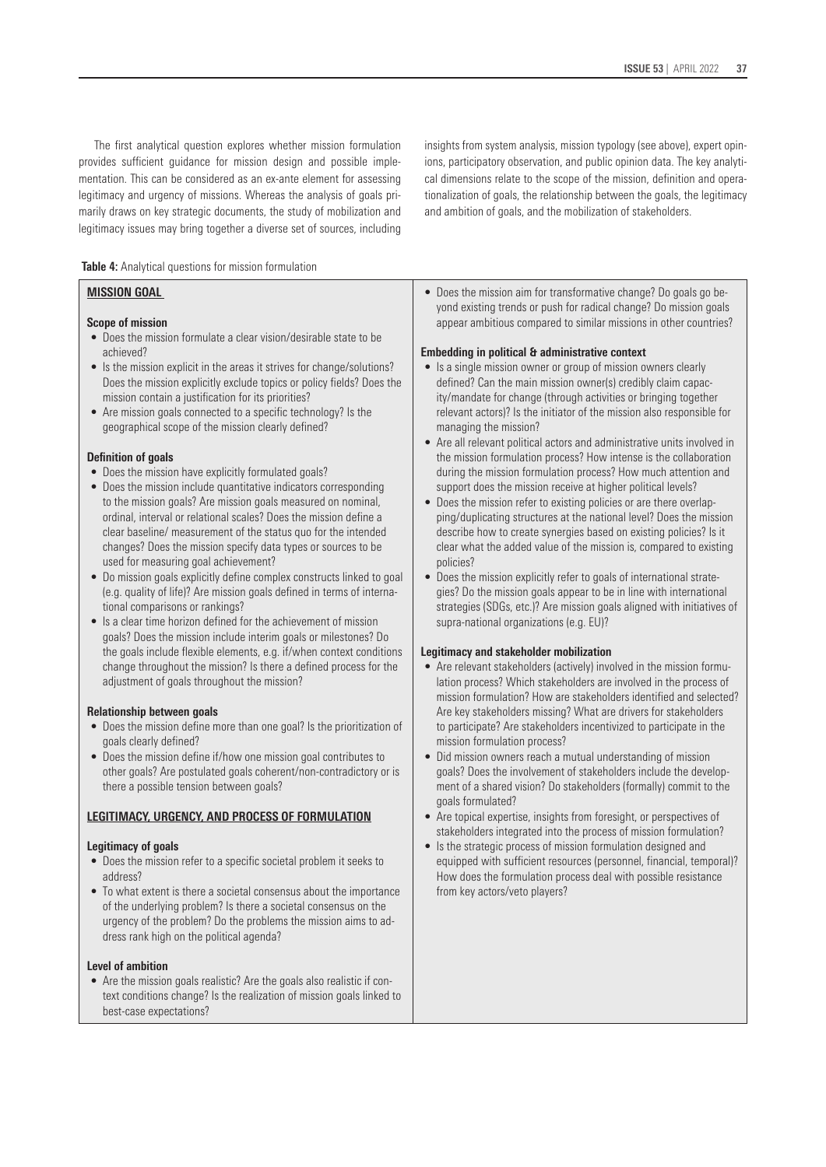The first analytical question explores whether mission formulation provides sufficient guidance for mission design and possible implementation. This can be considered as an ex-ante element for assessing legitimacy and urgency of missions. Whereas the analysis of goals primarily draws on key strategic documents, the study of mobilization and legitimacy issues may bring together a diverse set of sources, including

insights from system analysis, mission typology (see above), expert opinions, participatory observation, and public opinion data. The key analytical dimensions relate to the scope of the mission, definition and operationalization of goals, the relationship between the goals, the legitimacy and ambition of goals, and the mobilization of stakeholders.

 **Table 4:** Analytical questions for mission formulation

### **MISSION GOAL**

#### **Scope of mission**

- Does the mission formulate a clear vision/desirable state to be achieved?
- Is the mission explicit in the areas it strives for change/solutions? Does the mission explicitly exclude topics or policy fields? Does the mission contain a justification for its priorities?
- Are mission goals connected to a specific technology? Is the geographical scope of the mission clearly defined?

#### **Definition of goals**

- Does the mission have explicitly formulated goals?
- Does the mission include quantitative indicators corresponding to the mission goals? Are mission goals measured on nominal, ordinal, interval or relational scales? Does the mission define a clear baseline/ measurement of the status quo for the intended changes? Does the mission specify data types or sources to be used for measuring goal achievement?
- Do mission goals explicitly define complex constructs linked to goal (e.g. quality of life)? Are mission goals defined in terms of international comparisons or rankings?
- Is a clear time horizon defined for the achievement of mission goals? Does the mission include interim goals or milestones? Do the goals include flexible elements, e.g. if/when context conditions change throughout the mission? Is there a defined process for the adjustment of goals throughout the mission?

#### **Relationship between goals**

- Does the mission define more than one goal? Is the prioritization of goals clearly defined?
- Does the mission define if/how one mission goal contributes to other goals? Are postulated goals coherent/non-contradictory or is there a possible tension between goals?

#### **LEGITIMACY, URGENCY, AND PROCESS OF FORMULATION**

#### **Legitimacy of goals**

- Does the mission refer to a specific societal problem it seeks to address?
- To what extent is there a societal consensus about the importance of the underlying problem? Is there a societal consensus on the urgency of the problem? Do the problems the mission aims to address rank high on the political agenda?

#### **Level of ambition**

• Are the mission goals realistic? Are the goals also realistic if context conditions change? Is the realization of mission goals linked to best-case expectations?

• Does the mission aim for transformative change? Do goals go beyond existing trends or push for radical change? Do mission goals appear ambitious compared to similar missions in other countries?

#### **Embedding in political & administrative context**

- Is a single mission owner or group of mission owners clearly defined? Can the main mission owner(s) credibly claim capacity/mandate for change (through activities or bringing together relevant actors)? Is the initiator of the mission also responsible for managing the mission?
- Are all relevant political actors and administrative units involved in the mission formulation process? How intense is the collaboration during the mission formulation process? How much attention and support does the mission receive at higher political levels?
- Does the mission refer to existing policies or are there overlapping/duplicating structures at the national level? Does the mission describe how to create synergies based on existing policies? Is it clear what the added value of the mission is, compared to existing policies?
- Does the mission explicitly refer to goals of international strategies? Do the mission goals appear to be in line with international strategies (SDGs, etc.)? Are mission goals aligned with initiatives of supra-national organizations (e.g. EU)?

#### **Legitimacy and stakeholder mobilization**

- Are relevant stakeholders (actively) involved in the mission formulation process? Which stakeholders are involved in the process of mission formulation? How are stakeholders identified and selected? Are key stakeholders missing? What are drivers for stakeholders to participate? Are stakeholders incentivized to participate in the mission formulation process?
- Did mission owners reach a mutual understanding of mission goals? Does the involvement of stakeholders include the development of a shared vision? Do stakeholders (formally) commit to the goals formulated?
- Are topical expertise, insights from foresight, or perspectives of stakeholders integrated into the process of mission formulation?
- Is the strategic process of mission formulation designed and equipped with sufficient resources (personnel, financial, temporal)? How does the formulation process deal with possible resistance from key actors/veto players?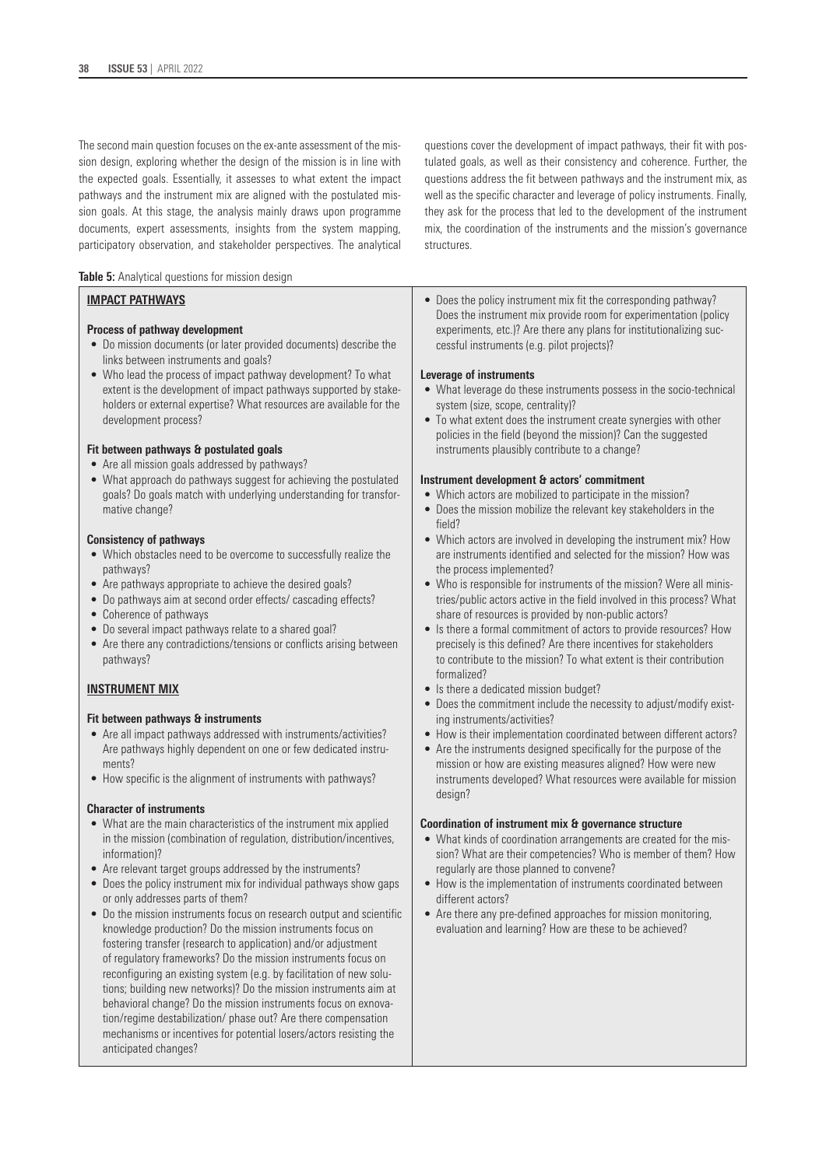The second main question focuses on the ex-ante assessment of the mission design, exploring whether the design of the mission is in line with the expected goals. Essentially, it assesses to what extent the impact pathways and the instrument mix are aligned with the postulated mission goals. At this stage, the analysis mainly draws upon programme documents, expert assessments, insights from the system mapping, participatory observation, and stakeholder perspectives. The analytical

**Table 5:** Analytical questions for mission design

#### **IMPACT PATHWAYS**

#### **Process of pathway development**

- Do mission documents (or later provided documents) describe the links between instruments and goals?
- Who lead the process of impact pathway development? To what extent is the development of impact pathways supported by stakeholders or external expertise? What resources are available for the development process?

#### **Fit between pathways & postulated goals**

- Are all mission goals addressed by pathways?
- What approach do pathways suggest for achieving the postulated goals? Do goals match with underlying understanding for transformative change?

#### **Consistency of pathways**

- Which obstacles need to be overcome to successfully realize the pathways?
- Are pathways appropriate to achieve the desired goals?
- Do pathways aim at second order effects/ cascading effects?
- Coherence of pathways
- Do several impact pathways relate to a shared goal?
- Are there any contradictions/tensions or conflicts arising between pathways?

#### **INSTRUMENT MIX**

#### **Fit between pathways & instruments**

- Are all impact pathways addressed with instruments/activities? Are pathways highly dependent on one or few dedicated instruments?
- How specific is the alignment of instruments with pathways?

#### **Character of instruments**

- What are the main characteristics of the instrument mix applied in the mission (combination of regulation, distribution/incentives, information)?
- Are relevant target groups addressed by the instruments?
- Does the policy instrument mix for individual pathways show gaps or only addresses parts of them?
- Do the mission instruments focus on research output and scientific knowledge production? Do the mission instruments focus on fostering transfer (research to application) and/or adjustment of regulatory frameworks? Do the mission instruments focus on reconfiguring an existing system (e.g. by facilitation of new solutions; building new networks)? Do the mission instruments aim at behavioral change? Do the mission instruments focus on exnovation/regime destabilization/ phase out? Are there compensation mechanisms or incentives for potential losers/actors resisting the anticipated changes?

questions cover the development of impact pathways, their fit with postulated goals, as well as their consistency and coherence. Further, the questions address the fit between pathways and the instrument mix, as well as the specific character and leverage of policy instruments. Finally, they ask for the process that led to the development of the instrument mix, the coordination of the instruments and the mission's governance structures.

• Does the policy instrument mix fit the corresponding pathway? Does the instrument mix provide room for experimentation (policy experiments, etc.)? Are there any plans for institutionalizing successful instruments (e.g. pilot projects)?

#### **Leverage of instruments**

- What leverage do these instruments possess in the socio-technical system (size, scope, centrality)?
- To what extent does the instrument create synergies with other policies in the field (beyond the mission)? Can the suggested instruments plausibly contribute to a change?

#### **Instrument development & actors' commitment**

- Which actors are mobilized to participate in the mission?
- Does the mission mobilize the relevant key stakeholders in the field?
- Which actors are involved in developing the instrument mix? How are instruments identified and selected for the mission? How was the process implemented?
- Who is responsible for instruments of the mission? Were all ministries/public actors active in the field involved in this process? What share of resources is provided by non-public actors?
- Is there a formal commitment of actors to provide resources? How precisely is this defined? Are there incentives for stakeholders to contribute to the mission? To what extent is their contribution formalized?
- Is there a dedicated mission budget?
- Does the commitment include the necessity to adjust/modify existing instruments/activities?
- How is their implementation coordinated between different actors?
- Are the instruments designed specifically for the purpose of the mission or how are existing measures aligned? How were new instruments developed? What resources were available for mission design?

#### **Coordination of instrument mix & governance structure**

- What kinds of coordination arrangements are created for the mission? What are their competencies? Who is member of them? How regularly are those planned to convene?
- How is the implementation of instruments coordinated between different actors?
- Are there any pre-defined approaches for mission monitoring, evaluation and learning? How are these to be achieved?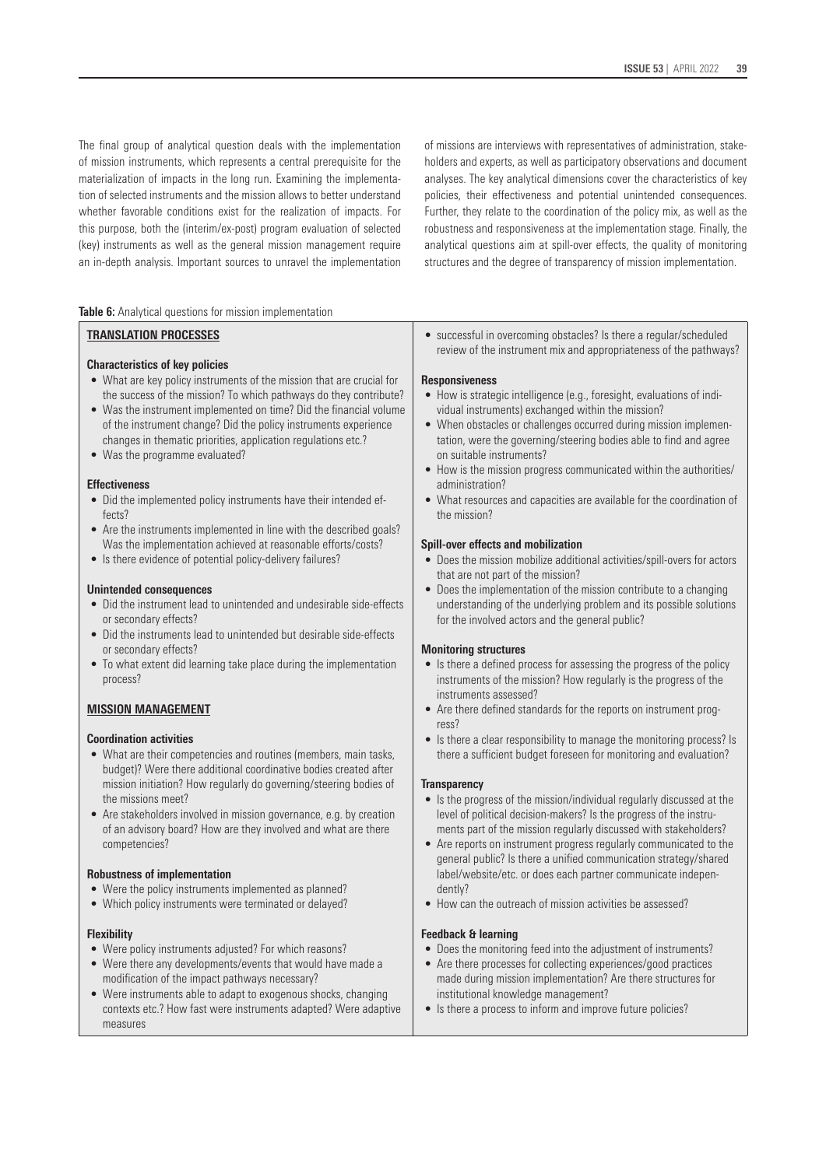The final group of analytical question deals with the implementation of mission instruments, which represents a central prerequisite for the materialization of impacts in the long run. Examining the implementation of selected instruments and the mission allows to better understand whether favorable conditions exist for the realization of impacts. For this purpose, both the (interim/ex-post) program evaluation of selected (key) instruments as well as the general mission management require an in-depth analysis. Important sources to unravel the implementation of missions are interviews with representatives of administration, stakeholders and experts, as well as participatory observations and document analyses. The key analytical dimensions cover the characteristics of key policies, their effectiveness and potential unintended consequences. Further, they relate to the coordination of the policy mix, as well as the robustness and responsiveness at the implementation stage. Finally, the analytical questions aim at spill-over effects, the quality of monitoring structures and the degree of transparency of mission implementation.

**Table 6:** Analytical questions for mission implementation

#### **TRANSLATION PROCESSES**

#### **Characteristics of key policies**

- What are key policy instruments of the mission that are crucial for the success of the mission? To which pathways do they contribute?
- Was the instrument implemented on time? Did the financial volume of the instrument change? Did the policy instruments experience changes in thematic priorities, application regulations etc.?
- Was the programme evaluated?

#### **Effectiveness**

- Did the implemented policy instruments have their intended effects?
- Are the instruments implemented in line with the described goals? Was the implementation achieved at reasonable efforts/costs?
- Is there evidence of potential policy-delivery failures?

#### **Unintended consequences**

- Did the instrument lead to unintended and undesirable side-effects or secondary effects?
- Did the instruments lead to unintended but desirable side-effects or secondary effects?
- To what extent did learning take place during the implementation process?

### **MISSION MANAGEMENT**

#### **Coordination activities**

- What are their competencies and routines (members, main tasks, budget)? Were there additional coordinative bodies created after mission initiation? How regularly do governing/steering bodies of the missions meet?
- Are stakeholders involved in mission governance, e.g. by creation of an advisory board? How are they involved and what are there competencies?

#### **Robustness of implementation**

- Were the policy instruments implemented as planned?
- Which policy instruments were terminated or delayed?

#### **Flexibility**

- Were policy instruments adjusted? For which reasons?
- Were there any developments/events that would have made a modification of the impact pathways necessary?
- Were instruments able to adapt to exogenous shocks, changing contexts etc.? How fast were instruments adapted? Were adaptive measures

• successful in overcoming obstacles? Is there a regular/scheduled review of the instrument mix and appropriateness of the pathways?

#### **Responsiveness**

- How is strategic intelligence (e.g., foresight, evaluations of individual instruments) exchanged within the mission?
- When obstacles or challenges occurred during mission implementation, were the governing/steering bodies able to find and agree on suitable instruments?
- How is the mission progress communicated within the authorities/ administration?
- What resources and capacities are available for the coordination of the mission?

#### **Spill-over effects and mobilization**

- Does the mission mobilize additional activities/spill-overs for actors that are not part of the mission?
- Does the implementation of the mission contribute to a changing understanding of the underlying problem and its possible solutions for the involved actors and the general public?

#### **Monitoring structures**

- Is there a defined process for assessing the progress of the policy instruments of the mission? How regularly is the progress of the instruments assessed?
- Are there defined standards for the reports on instrument progress?
- Is there a clear responsibility to manage the monitoring process? Is there a sufficient budget foreseen for monitoring and evaluation?

#### **Transparency**

- Is the progress of the mission/individual regularly discussed at the level of political decision-makers? Is the progress of the instruments part of the mission regularly discussed with stakeholders?
- Are reports on instrument progress regularly communicated to the general public? Is there a unified communication strategy/shared label/website/etc. or does each partner communicate independently?
- How can the outreach of mission activities be assessed?

#### **Feedback & learning**

- Does the monitoring feed into the adjustment of instruments?
- Are there processes for collecting experiences/good practices made during mission implementation? Are there structures for institutional knowledge management?
- Is there a process to inform and improve future policies?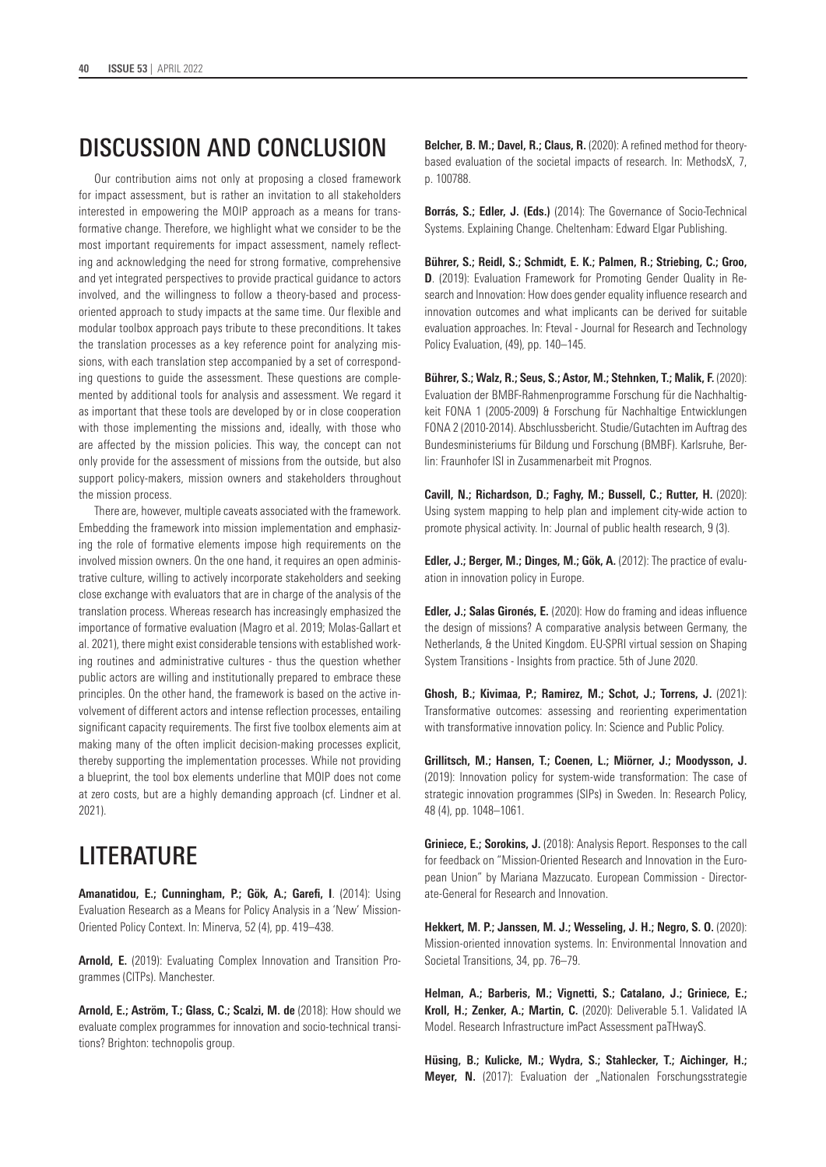# DISCUSSION AND CONCLUSION

Our contribution aims not only at proposing a closed framework for impact assessment, but is rather an invitation to all stakeholders interested in empowering the MOIP approach as a means for transformative change. Therefore, we highlight what we consider to be the most important requirements for impact assessment, namely reflecting and acknowledging the need for strong formative, comprehensive and yet integrated perspectives to provide practical guidance to actors involved, and the willingness to follow a theory-based and processoriented approach to study impacts at the same time. Our flexible and modular toolbox approach pays tribute to these preconditions. It takes the translation processes as a key reference point for analyzing missions, with each translation step accompanied by a set of corresponding questions to guide the assessment. These questions are complemented by additional tools for analysis and assessment. We regard it as important that these tools are developed by or in close cooperation with those implementing the missions and, ideally, with those who are affected by the mission policies. This way, the concept can not only provide for the assessment of missions from the outside, but also support policy-makers, mission owners and stakeholders throughout the mission process.

There are, however, multiple caveats associated with the framework. Embedding the framework into mission implementation and emphasizing the role of formative elements impose high requirements on the involved mission owners. On the one hand, it requires an open administrative culture, willing to actively incorporate stakeholders and seeking close exchange with evaluators that are in charge of the analysis of the translation process. Whereas research has increasingly emphasized the importance of formative evaluation (Magro et al. 2019; Molas-Gallart et al. 2021), there might exist considerable tensions with established working routines and administrative cultures - thus the question whether public actors are willing and institutionally prepared to embrace these principles. On the other hand, the framework is based on the active involvement of different actors and intense reflection processes, entailing significant capacity requirements. The first five toolbox elements aim at making many of the often implicit decision-making processes explicit, thereby supporting the implementation processes. While not providing a blueprint, the tool box elements underline that MOIP does not come at zero costs, but are a highly demanding approach (cf. Lindner et al. 2021).

# **LITERATURE**

**Amanatidou, E.; Cunningham, P.; Gök, A.; Garefi, I**. (2014): Using Evaluation Research as a Means for Policy Analysis in a 'New' Mission-Oriented Policy Context. In: Minerva, 52 (4), pp. 419–438.

**Arnold, E.** (2019): Evaluating Complex Innovation and Transition Programmes (CITPs). Manchester.

**Arnold, E.; Aström, T.; Glass, C.; Scalzi, M. de** (2018): How should we evaluate complex programmes for innovation and socio-technical transitions? Brighton: technopolis group.

**Belcher, B. M.; Davel, R.; Claus, R.** (2020): A refined method for theorybased evaluation of the societal impacts of research. In: MethodsX, 7, p. 100788.

**Borrás, S.; Edler, J. (Eds.)** (2014): The Governance of Socio-Technical Systems. Explaining Change. Cheltenham: Edward Elgar Publishing.

**Bührer, S.; Reidl, S.; Schmidt, E. K.; Palmen, R.; Striebing, C.; Groo, D**. (2019): Evaluation Framework for Promoting Gender Quality in Research and Innovation: How does gender equality influence research and innovation outcomes and what implicants can be derived for suitable evaluation approaches. In: Fteval - Journal for Research and Technology Policy Evaluation, (49), pp. 140–145.

**Bührer, S.; Walz, R.; Seus, S.; Astor, M.; Stehnken, T.; Malik, F.** (2020): Evaluation der BMBF-Rahmenprogramme Forschung für die Nachhaltigkeit FONA 1 (2005-2009) & Forschung für Nachhaltige Entwicklungen FONA 2 (2010-2014). Abschlussbericht. Studie/Gutachten im Auftrag des Bundesministeriums für Bildung und Forschung (BMBF). Karlsruhe, Berlin: Fraunhofer ISI in Zusammenarbeit mit Prognos.

**Cavill, N.; Richardson, D.; Faghy, M.; Bussell, C.; Rutter, H.** (2020): Using system mapping to help plan and implement city-wide action to promote physical activity. In: Journal of public health research, 9 (3).

**Edler, J.; Berger, M.; Dinges, M.; Gök, A.** (2012): The practice of evaluation in innovation policy in Europe.

**Edler, J.; Salas Gironés, E.** (2020): How do framing and ideas influence the design of missions? A comparative analysis between Germany, the Netherlands, & the United Kingdom. EU-SPRI virtual session on Shaping System Transitions - Insights from practice. 5th of June 2020.

**Ghosh, B.; Kivimaa, P.; Ramirez, M.; Schot, J.; Torrens, J.** (2021): Transformative outcomes: assessing and reorienting experimentation with transformative innovation policy. In: Science and Public Policy.

**Grillitsch, M.; Hansen, T.; Coenen, L.; Miörner, J.; Moodysson, J.** (2019): Innovation policy for system-wide transformation: The case of strategic innovation programmes (SIPs) in Sweden. In: Research Policy, 48 (4), pp. 1048–1061.

**Griniece, E.; Sorokins, J.** (2018): Analysis Report. Responses to the call for feedback on "Mission-Oriented Research and Innovation in the European Union" by Mariana Mazzucato. European Commission - Directorate-General for Research and Innovation.

**Hekkert, M. P.; Janssen, M. J.; Wesseling, J. H.; Negro, S. O.** (2020): Mission-oriented innovation systems. In: Environmental Innovation and Societal Transitions, 34, pp. 76–79.

**Helman, A.; Barberis, M.; Vignetti, S.; Catalano, J.; Griniece, E.; Kroll, H.; Zenker, A.; Martin, C.** (2020): Deliverable 5.1. Validated IA Model. Research Infrastructure imPact Assessment paTHwayS.

**Hüsing, B.; Kulicke, M.; Wydra, S.; Stahlecker, T.; Aichinger, H.; Meyer, N.** (2017): Evaluation der "Nationalen Forschungsstrategie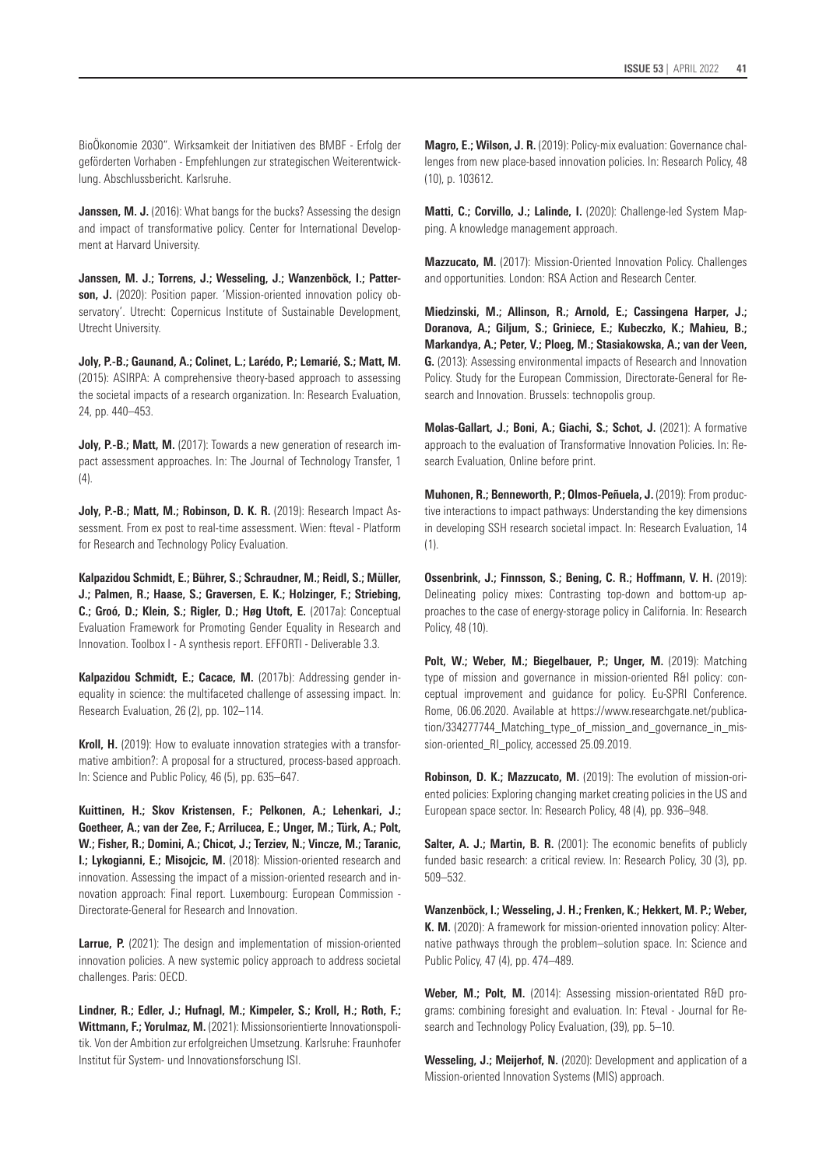BioÖkonomie 2030". Wirksamkeit der Initiativen des BMBF - Erfolg der geförderten Vorhaben - Empfehlungen zur strategischen Weiterentwicklung. Abschlussbericht. Karlsruhe.

**Janssen, M. J.** (2016): What bangs for the bucks? Assessing the design and impact of transformative policy. Center for International Development at Harvard University.

**Janssen, M. J.; Torrens, J.; Wesseling, J.; Wanzenböck, I.; Patter**son, J. (2020): Position paper. 'Mission-oriented innovation policy observatory'. Utrecht: Copernicus Institute of Sustainable Development, Utrecht University.

**Joly, P.-B.; Gaunand, A.; Colinet, L.; Larédo, P.; Lemarié, S.; Matt, M.**  (2015): ASIRPA: A comprehensive theory-based approach to assessing the societal impacts of a research organization. In: Research Evaluation, 24, pp. 440–453.

**Joly, P.-B.; Matt, M.** (2017): Towards a new generation of research impact assessment approaches. In: The Journal of Technology Transfer, 1  $(4)$ .

**Joly, P.-B.; Matt, M.; Robinson, D. K. R.** (2019): Research Impact Assessment. From ex post to real-time assessment. Wien: fteval - Platform for Research and Technology Policy Evaluation.

**Kalpazidou Schmidt, E.; Bührer, S.; Schraudner, M.; Reidl, S.; Müller, J.; Palmen, R.; Haase, S.; Graversen, E. K.; Holzinger, F.; Striebing, C.; Groó, D.; Klein, S.; Rigler, D.; Høg Utoft, E.** (2017a): Conceptual Evaluation Framework for Promoting Gender Equality in Research and Innovation. Toolbox I - A synthesis report. EFFORTI - Deliverable 3.3.

**Kalpazidou Schmidt, E.: Cacace, M.** (2017b): Addressing gender inequality in science: the multifaceted challenge of assessing impact. In: Research Evaluation, 26 (2), pp. 102–114.

**Kroll, H.** (2019): How to evaluate innovation strategies with a transformative ambition?: A proposal for a structured, process-based approach. In: Science and Public Policy, 46 (5), pp. 635–647.

**Kuittinen, H.; Skov Kristensen, F.; Pelkonen, A.; Lehenkari, J.; Goetheer, A.; van der Zee, F.; Arrilucea, E.; Unger, M.; Türk, A.; Polt, W.; Fisher, R.; Domini, A.; Chicot, J.; Terziev, N.; Vincze, M.; Taranic, I.: Lykogianni, E.: Misoicic, M.** (2018): Mission-oriented research and innovation. Assessing the impact of a mission-oriented research and innovation approach: Final report. Luxembourg: European Commission - Directorate-General for Research and Innovation.

**Larrue, P.** (2021): The design and implementation of mission-oriented innovation policies. A new systemic policy approach to address societal challenges. Paris: OECD.

**Lindner, R.; Edler, J.; Hufnagl, M.; Kimpeler, S.; Kroll, H.; Roth, F.; Wittmann, F.; Yorulmaz, M.** (2021): Missionsorientierte Innovationspolitik. Von der Ambition zur erfolgreichen Umsetzung. Karlsruhe: Fraunhofer Institut für System- und Innovationsforschung ISI.

**Matti, C.; Corvillo, J.; Lalinde, I.** (2020): Challenge-led System Mapping. A knowledge management approach.

**Mazzucato, M.** (2017): Mission-Oriented Innovation Policy. Challenges and opportunities. London: RSA Action and Research Center.

**Miedzinski, M.; Allinson, R.; Arnold, E.; Cassingena Harper, J.; Doranova, A.; Giljum, S.; Griniece, E.; Kubeczko, K.; Mahieu, B.; Markandya, A.; Peter, V.; Ploeg, M.; Stasiakowska, A.; van der Veen, G.** (2013): Assessing environmental impacts of Research and Innovation Policy. Study for the European Commission, Directorate-General for Research and Innovation. Brussels: technopolis group.

**Molas-Gallart, J.; Boni, A.; Giachi, S.; Schot, J.** (2021): A formative approach to the evaluation of Transformative Innovation Policies. In: Research Evaluation, Online before print.

**Muhonen, R.; Benneworth, P.; Olmos-Peñuela, J.** (2019): From productive interactions to impact pathways: Understanding the key dimensions in developing SSH research societal impact. In: Research Evaluation, 14 (1).

**Ossenbrink, J.; Finnsson, S.; Bening, C. R.; Hoffmann, V. H.** (2019): Delineating policy mixes: Contrasting top-down and bottom-up approaches to the case of energy-storage policy in California. In: Research Policy, 48 (10).

**Polt, W.; Weber, M.; Biegelbauer, P.; Unger, M.** (2019): Matching type of mission and governance in mission-oriented R&I policy: conceptual improvement and guidance for policy. Eu-SPRI Conference. Rome, 06.06.2020. Available at [https://www.researchgate.net/publica](https://www.researchgate.net/publication/334277744_Matching_type_of_mission_and_governance_in_missio)tion/334277744 Matching type of mission and governance in mission-oriented RI policy, accessed 25.09.2019.

**Robinson, D. K.; Mazzucato, M.** (2019): The evolution of mission-oriented policies: Exploring changing market creating policies in the US and European space sector. In: Research Policy, 48 (4), pp. 936–948.

**Salter, A. J.; Martin, B. R.** (2001): The economic benefits of publicly funded basic research: a critical review. In: Research Policy, 30 (3), pp. 509–532.

**Wanzenböck, I.; Wesseling, J. H.; Frenken, K.; Hekkert, M. P.; Weber, K. M.** (2020): A framework for mission-oriented innovation policy: Alternative pathways through the problem–solution space. In: Science and Public Policy, 47 (4), pp. 474–489.

Weber, M.; Polt, M. (2014): Assessing mission-orientated R&D programs: combining foresight and evaluation. In: Fteval - Journal for Research and Technology Policy Evaluation, (39), pp. 5–10.

**Wesseling, J.; Meijerhof, N.** (2020): Development and application of a Mission-oriented Innovation Systems (MIS) approach.